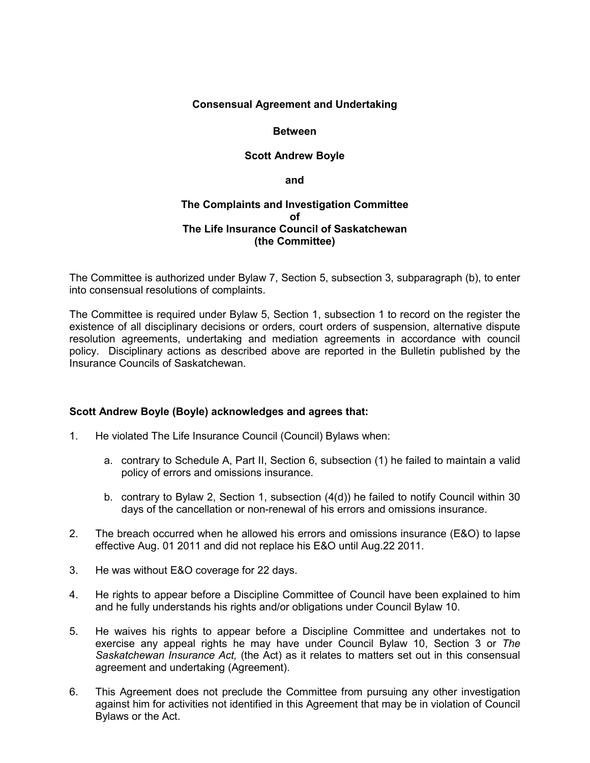# **Consensual Agreement and Undertaking**

#### **Between**

# **Scott Andrew Boyle**

**and**

# **The Complaints and Investigation Committee of The Life Insurance Council of Saskatchewan (the Committee)**

The Committee is authorized under Bylaw 7, Section 5, subsection 3, subparagraph (b), to enter into consensual resolutions of complaints.

The Committee is required under Bylaw 5, Section 1, subsection 1 to record on the register the existence of all disciplinary decisions or orders, court orders of suspension, alternative dispute resolution agreements, undertaking and mediation agreements in accordance with council policy. Disciplinary actions as described above are reported in the Bulletin published by the Insurance Councils of Saskatchewan.

# **Scott Andrew Boyle (Boyle) acknowledges and agrees that:**

- 1. He violated The Life Insurance Council (Council) Bylaws when:
	- a. contrary to Schedule A, Part II, Section 6, subsection (1) he failed to maintain a valid policy of errors and omissions insurance.
	- b. contrary to Bylaw 2, Section 1, subsection (4(d)) he failed to notify Council within 30 days of the cancellation or non-renewal of his errors and omissions insurance.
- 2. The breach occurred when he allowed his errors and omissions insurance (E&O) to lapse effective Aug. 01 2011 and did not replace his E&O until Aug.22 2011.
- 3. He was without E&O coverage for 22 days.
- 4. He rights to appear before a Discipline Committee of Council have been explained to him and he fully understands his rights and/or obligations under Council Bylaw 10.
- 5. He waives his rights to appear before a Discipline Committee and undertakes not to exercise any appeal rights he may have under Council Bylaw 10, Section 3 or *The Saskatchewan Insurance Act,* (the Act) as it relates to matters set out in this consensual agreement and undertaking (Agreement).
- 6. This Agreement does not preclude the Committee from pursuing any other investigation against him for activities not identified in this Agreement that may be in violation of Council Bylaws or the Act.